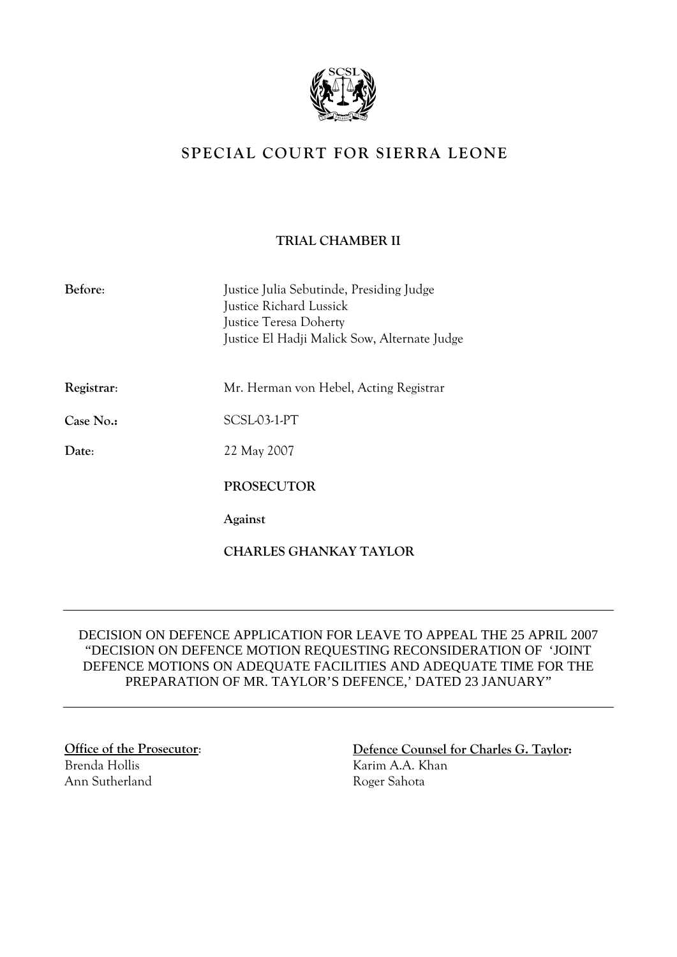

## **SPECIAL COURT FOR SIERRA LEONE**

## **TRIAL CHAMBER II**

| Before:    | Justice Julia Sebutinde, Presiding Judge<br>Justice Richard Lussick<br><b>Justice Teresa Doherty</b><br>Justice El Hadji Malick Sow, Alternate Judge |
|------------|------------------------------------------------------------------------------------------------------------------------------------------------------|
| Registrar: | Mr. Herman von Hebel, Acting Registrar                                                                                                               |
| Case No.:  | SCSL03-1-PT                                                                                                                                          |
| Date:      | 22 May 2007                                                                                                                                          |
|            | <b>PROSECUTOR</b>                                                                                                                                    |
|            | Against                                                                                                                                              |
|            | CHARLES GHANKAY TAYLOR                                                                                                                               |

## DECISION ON DEFENCE APPLICATION FOR LEAVE TO APPEAL THE 25 APRIL 2007 "DECISION ON DEFENCE MOTION REQUESTING RECONSIDERATION OF 'JOINT DEFENCE MOTIONS ON ADEQUATE FACILITIES AND ADEQUATE TIME FOR THE PREPARATION OF MR. TAYLOR'S DEFENCE,' DATED 23 JANUARY"

Brenda Hollis Ann Sutherland

**Office of the Prosecutor**: **Defence Counsel for Charles G. Taylor:**  Karim A.A. Khan Roger Sahota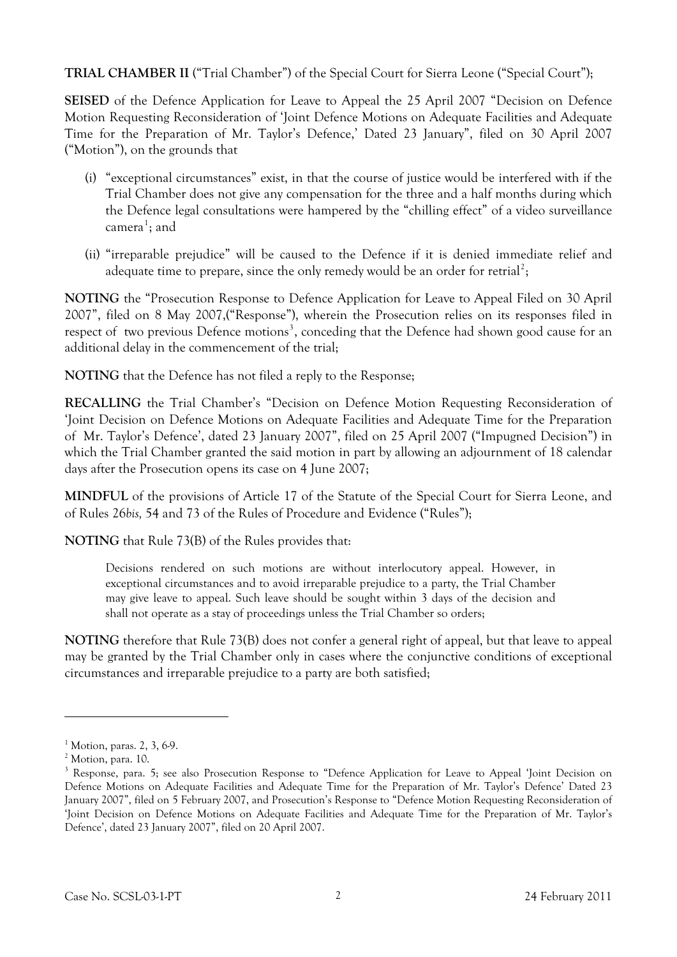**TRIAL CHAMBER II** ("Trial Chamber") of the Special Court for Sierra Leone ("Special Court");

**SEISED** of the Defence Application for Leave to Appeal the 25 April 2007 "Decision on Defence Motion Requesting Reconsideration of 'Joint Defence Motions on Adequate Facilities and Adequate Time for the Preparation of Mr. Taylor's Defence,' Dated 23 January", filed on 30 April 2007 ("Motion"), on the grounds that

- (i) "exceptional circumstances" exist, in that the course of justice would be interfered with if the Trial Chamber does not give any compensation for the three and a half months during which the Defence legal consultations were hampered by the "chilling effect" of a video surveillance camera<sup>[1](#page-1-0)</sup>; and
- (ii) "irreparable prejudice" will be caused to the Defence if it is denied immediate relief and adequate time to prepare, since the only remedy would be an order for retrial<sup>[2](#page-1-1)</sup>;

**NOTING** the "Prosecution Response to Defence Application for Leave to Appeal Filed on 30 April 2007", filed on 8 May 2007,("Response"), wherein the Prosecution relies on its responses filed in respect of two previous Defence motions<sup>[3](#page-1-2)</sup>, conceding that the Defence had shown good cause for an additional delay in the commencement of the trial;

**NOTING** that the Defence has not filed a reply to the Response;

**RECALLING** the Trial Chamber's "Decision on Defence Motion Requesting Reconsideration of 'Joint Decision on Defence Motions on Adequate Facilities and Adequate Time for the Preparation of Mr. Taylor's Defence', dated 23 January 2007", filed on 25 April 2007 ("Impugned Decision") in which the Trial Chamber granted the said motion in part by allowing an adjournment of 18 calendar days after the Prosecution opens its case on 4 June 2007;

**MINDFUL** of the provisions of Article 17 of the Statute of the Special Court for Sierra Leone, and of Rules 26*bis,* 54 and 73 of the Rules of Procedure and Evidence ("Rules");

**NOTING** that Rule 73(B) of the Rules provides that:

Decisions rendered on such motions are without interlocutory appeal. However, in exceptional circumstances and to avoid irreparable prejudice to a party, the Trial Chamber may give leave to appeal. Such leave should be sought within 3 days of the decision and shall not operate as a stay of proceedings unless the Trial Chamber so orders;

**NOTING** therefore that Rule 73(B) does not confer a general right of appeal, but that leave to appeal may be granted by the Trial Chamber only in cases where the conjunctive conditions of exceptional circumstances and irreparable prejudice to a party are both satisfied;

 $\overline{a}$ 

<span id="page-1-0"></span><sup>1</sup> Motion, paras. 2, 3, 6-9.

<span id="page-1-1"></span><sup>2</sup> Motion, para. 10.

<span id="page-1-2"></span><sup>&</sup>lt;sup>3</sup> Response, para. 5; see also Prosecution Response to "Defence Application for Leave to Appeal 'Joint Decision on Defence Motions on Adequate Facilities and Adequate Time for the Preparation of Mr. Taylor's Defence' Dated 23 January 2007", filed on 5 February 2007, and Prosecution's Response to "Defence Motion Requesting Reconsideration of 'Joint Decision on Defence Motions on Adequate Facilities and Adequate Time for the Preparation of Mr. Taylor's Defence', dated 23 January 2007", filed on 20 April 2007.